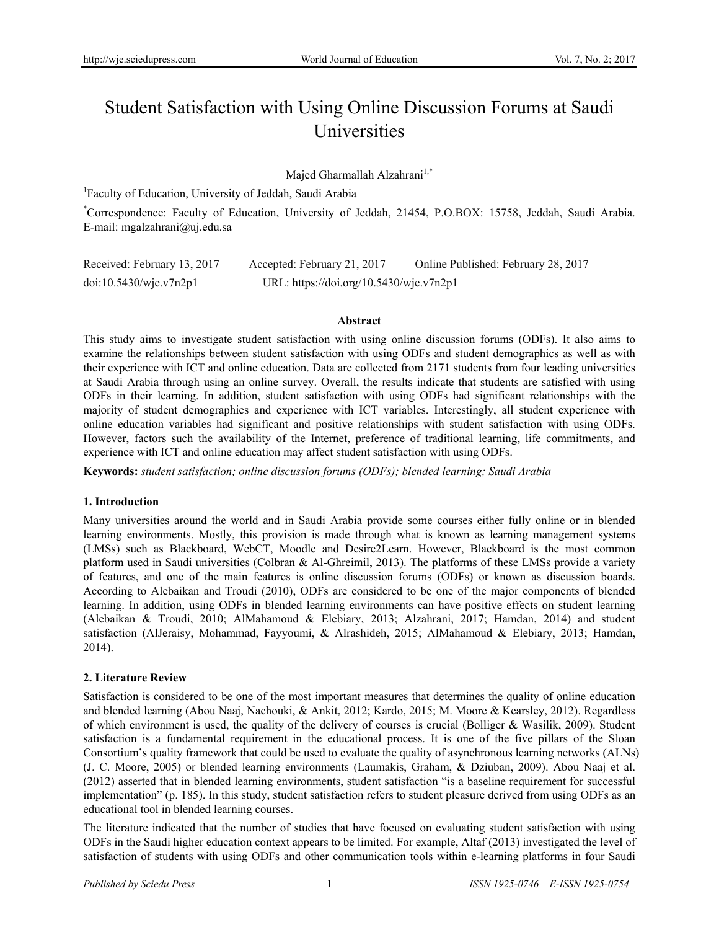# Student Satisfaction with Using Online Discussion Forums at Saudi **Universities**

Majed Gharmallah Alzahrani<sup>1,\*</sup>

<sup>1</sup>Faculty of Education, University of Jeddah, Saudi Arabia

\* Correspondence: Faculty of Education, University of Jeddah, 21454, P.O.BOX: 15758, Jeddah, Saudi Arabia. E-mail: mgalzahrani@uj.edu.sa

| Received: February 13, 2017 | Accepted: February 21, 2017             | Online Published: February 28, 2017 |
|-----------------------------|-----------------------------------------|-------------------------------------|
| doi:10.5430/wje.v7n2p1      | URL: https://doi.org/10.5430/wje.v7n2p1 |                                     |

#### **Abstract**

This study aims to investigate student satisfaction with using online discussion forums (ODFs). It also aims to examine the relationships between student satisfaction with using ODFs and student demographics as well as with their experience with ICT and online education. Data are collected from 2171 students from four leading universities at Saudi Arabia through using an online survey. Overall, the results indicate that students are satisfied with using ODFs in their learning. In addition, student satisfaction with using ODFs had significant relationships with the majority of student demographics and experience with ICT variables. Interestingly, all student experience with online education variables had significant and positive relationships with student satisfaction with using ODFs. However, factors such the availability of the Internet, preference of traditional learning, life commitments, and experience with ICT and online education may affect student satisfaction with using ODFs.

**Keywords:** *student satisfaction; online discussion forums (ODFs); blended learning; Saudi Arabia*

# **1. Introduction**

Many universities around the world and in Saudi Arabia provide some courses either fully online or in blended learning environments. Mostly, this provision is made through what is known as learning management systems (LMSs) such as Blackboard, WebCT, Moodle and Desire2Learn. However, Blackboard is the most common platform used in Saudi universities (Colbran & Al-Ghreimil, 2013). The platforms of these LMSs provide a variety of features, and one of the main features is online discussion forums (ODFs) or known as discussion boards. According to Alebaikan and Troudi (2010), ODFs are considered to be one of the major components of blended learning. In addition, using ODFs in blended learning environments can have positive effects on student learning (Alebaikan & Troudi, 2010; AlMahamoud & Elebiary, 2013; Alzahrani, 2017; Hamdan, 2014) and student satisfaction (AlJeraisy, Mohammad, Fayyoumi, & Alrashideh, 2015; AlMahamoud & Elebiary, 2013; Hamdan, 2014).

# **2. Literature Review**

Satisfaction is considered to be one of the most important measures that determines the quality of online education and blended learning (Abou Naaj, Nachouki, & Ankit, 2012; Kardo, 2015; M. Moore & Kearsley, 2012). Regardless of which environment is used, the quality of the delivery of courses is crucial (Bolliger & Wasilik, 2009). Student satisfaction is a fundamental requirement in the educational process. It is one of the five pillars of the Sloan Consortium's quality framework that could be used to evaluate the quality of asynchronous learning networks (ALNs) (J. C. Moore, 2005) or blended learning environments (Laumakis, Graham, & Dziuban, 2009). Abou Naaj et al. (2012) asserted that in blended learning environments, student satisfaction "is a baseline requirement for successful implementation" (p. 185). In this study, student satisfaction refers to student pleasure derived from using ODFs as an educational tool in blended learning courses.

The literature indicated that the number of studies that have focused on evaluating student satisfaction with using ODFs in the Saudi higher education context appears to be limited. For example, Altaf (2013) investigated the level of satisfaction of students with using ODFs and other communication tools within e-learning platforms in four Saudi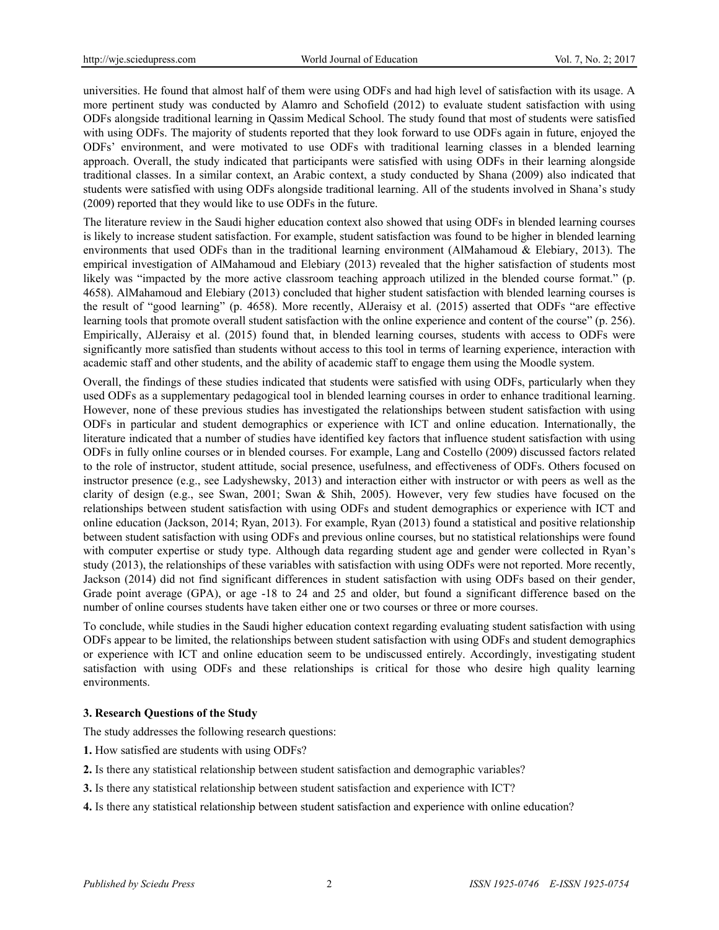universities. He found that almost half of them were using ODFs and had high level of satisfaction with its usage. A more pertinent study was conducted by Alamro and Schofield (2012) to evaluate student satisfaction with using ODFs alongside traditional learning in Qassim Medical School. The study found that most of students were satisfied with using ODFs. The majority of students reported that they look forward to use ODFs again in future, enjoyed the ODFs' environment, and were motivated to use ODFs with traditional learning classes in a blended learning approach. Overall, the study indicated that participants were satisfied with using ODFs in their learning alongside traditional classes. In a similar context, an Arabic context, a study conducted by Shana (2009) also indicated that students were satisfied with using ODFs alongside traditional learning. All of the students involved in Shana's study (2009) reported that they would like to use ODFs in the future.

The literature review in the Saudi higher education context also showed that using ODFs in blended learning courses is likely to increase student satisfaction. For example, student satisfaction was found to be higher in blended learning environments that used ODFs than in the traditional learning environment (AlMahamoud & Elebiary, 2013). The empirical investigation of AlMahamoud and Elebiary (2013) revealed that the higher satisfaction of students most likely was "impacted by the more active classroom teaching approach utilized in the blended course format." (p. 4658). AlMahamoud and Elebiary (2013) concluded that higher student satisfaction with blended learning courses is the result of "good learning" (p. 4658). More recently, AlJeraisy et al. (2015) asserted that ODFs "are effective learning tools that promote overall student satisfaction with the online experience and content of the course" (p. 256). Empirically, AlJeraisy et al. (2015) found that, in blended learning courses, students with access to ODFs were significantly more satisfied than students without access to this tool in terms of learning experience, interaction with academic staff and other students, and the ability of academic staff to engage them using the Moodle system.

Overall, the findings of these studies indicated that students were satisfied with using ODFs, particularly when they used ODFs as a supplementary pedagogical tool in blended learning courses in order to enhance traditional learning. However, none of these previous studies has investigated the relationships between student satisfaction with using ODFs in particular and student demographics or experience with ICT and online education. Internationally, the literature indicated that a number of studies have identified key factors that influence student satisfaction with using ODFs in fully online courses or in blended courses. For example, Lang and Costello (2009) discussed factors related to the role of instructor, student attitude, social presence, usefulness, and effectiveness of ODFs. Others focused on instructor presence (e.g., see Ladyshewsky, 2013) and interaction either with instructor or with peers as well as the clarity of design (e.g., see Swan, 2001; Swan & Shih, 2005). However, very few studies have focused on the relationships between student satisfaction with using ODFs and student demographics or experience with ICT and online education (Jackson, 2014; Ryan, 2013). For example, Ryan (2013) found a statistical and positive relationship between student satisfaction with using ODFs and previous online courses, but no statistical relationships were found with computer expertise or study type. Although data regarding student age and gender were collected in Ryan's study (2013), the relationships of these variables with satisfaction with using ODFs were not reported. More recently, Jackson (2014) did not find significant differences in student satisfaction with using ODFs based on their gender, Grade point average (GPA), or age -18 to 24 and 25 and older, but found a significant difference based on the number of online courses students have taken either one or two courses or three or more courses.

To conclude, while studies in the Saudi higher education context regarding evaluating student satisfaction with using ODFs appear to be limited, the relationships between student satisfaction with using ODFs and student demographics or experience with ICT and online education seem to be undiscussed entirely. Accordingly, investigating student satisfaction with using ODFs and these relationships is critical for those who desire high quality learning environments.

# **3. Research Questions of the Study**

The study addresses the following research questions:

- **1.** How satisfied are students with using ODFs?
- **2.** Is there any statistical relationship between student satisfaction and demographic variables?
- **3.** Is there any statistical relationship between student satisfaction and experience with ICT?
- **4.** Is there any statistical relationship between student satisfaction and experience with online education?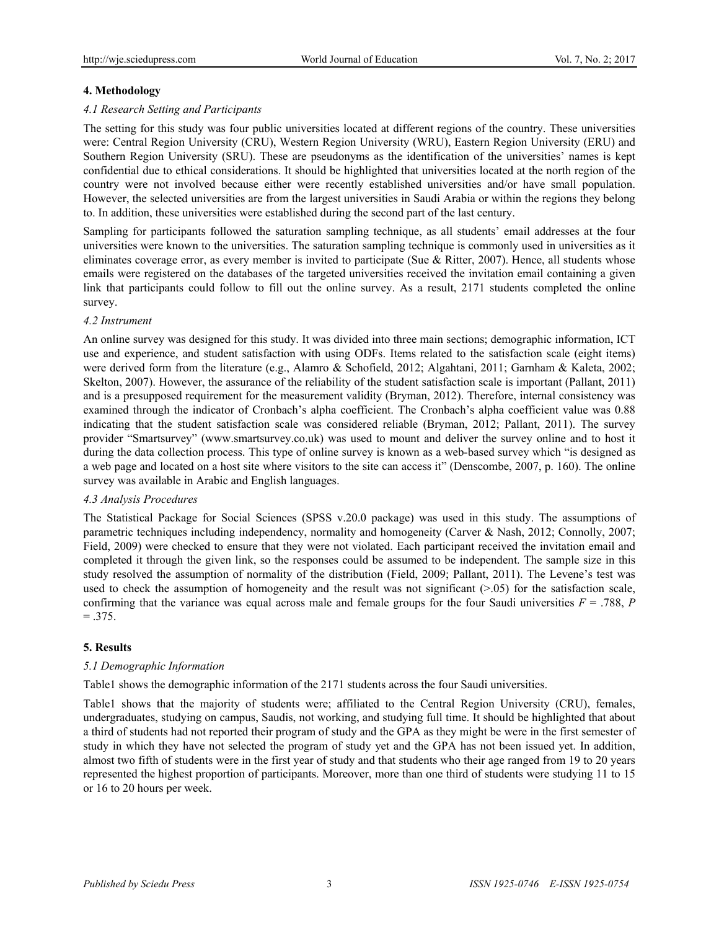# **4. Methodology**

# *4.1 Research Setting and Participants*

The setting for this study was four public universities located at different regions of the country. These universities were: Central Region University (CRU), Western Region University (WRU), Eastern Region University (ERU) and Southern Region University (SRU). These are pseudonyms as the identification of the universities' names is kept confidential due to ethical considerations. It should be highlighted that universities located at the north region of the country were not involved because either were recently established universities and/or have small population. However, the selected universities are from the largest universities in Saudi Arabia or within the regions they belong to. In addition, these universities were established during the second part of the last century.

Sampling for participants followed the saturation sampling technique, as all students' email addresses at the four universities were known to the universities. The saturation sampling technique is commonly used in universities as it eliminates coverage error, as every member is invited to participate (Sue & Ritter, 2007). Hence, all students whose emails were registered on the databases of the targeted universities received the invitation email containing a given link that participants could follow to fill out the online survey. As a result, 2171 students completed the online survey.

#### *4.2 Instrument*

An online survey was designed for this study. It was divided into three main sections; demographic information, ICT use and experience, and student satisfaction with using ODFs. Items related to the satisfaction scale (eight items) were derived form from the literature (e.g., Alamro & Schofield, 2012; Algahtani, 2011; Garnham & Kaleta, 2002; Skelton, 2007). However, the assurance of the reliability of the student satisfaction scale is important (Pallant, 2011) and is a presupposed requirement for the measurement validity (Bryman, 2012). Therefore, internal consistency was examined through the indicator of Cronbach's alpha coefficient. The Cronbach's alpha coefficient value was 0.88 indicating that the student satisfaction scale was considered reliable (Bryman, 2012; Pallant, 2011). The survey provider "Smartsurvey" (www.smartsurvey.co.uk) was used to mount and deliver the survey online and to host it during the data collection process. This type of online survey is known as a web-based survey which "is designed as a web page and located on a host site where visitors to the site can access it" (Denscombe, 2007, p. 160). The online survey was available in Arabic and English languages.

#### *4.3 Analysis Procedures*

The Statistical Package for Social Sciences (SPSS v.20.0 package) was used in this study. The assumptions of parametric techniques including independency, normality and homogeneity (Carver & Nash, 2012; Connolly, 2007; Field, 2009) were checked to ensure that they were not violated. Each participant received the invitation email and completed it through the given link, so the responses could be assumed to be independent. The sample size in this study resolved the assumption of normality of the distribution (Field, 2009; Pallant, 2011). The Levene's test was used to check the assumption of homogeneity and the result was not significant  $(>0.05)$  for the satisfaction scale, confirming that the variance was equal across male and female groups for the four Saudi universities  $F = .788$ ,  $P = .788$  $=.375.$ 

# **5. Results**

# *5.1 Demographic Information*

Table1 shows the demographic information of the 2171 students across the four Saudi universities.

Table1 shows that the majority of students were; affiliated to the Central Region University (CRU), females, undergraduates, studying on campus, Saudis, not working, and studying full time. It should be highlighted that about a third of students had not reported their program of study and the GPA as they might be were in the first semester of study in which they have not selected the program of study yet and the GPA has not been issued yet. In addition, almost two fifth of students were in the first year of study and that students who their age ranged from 19 to 20 years represented the highest proportion of participants. Moreover, more than one third of students were studying 11 to 15 or 16 to 20 hours per week.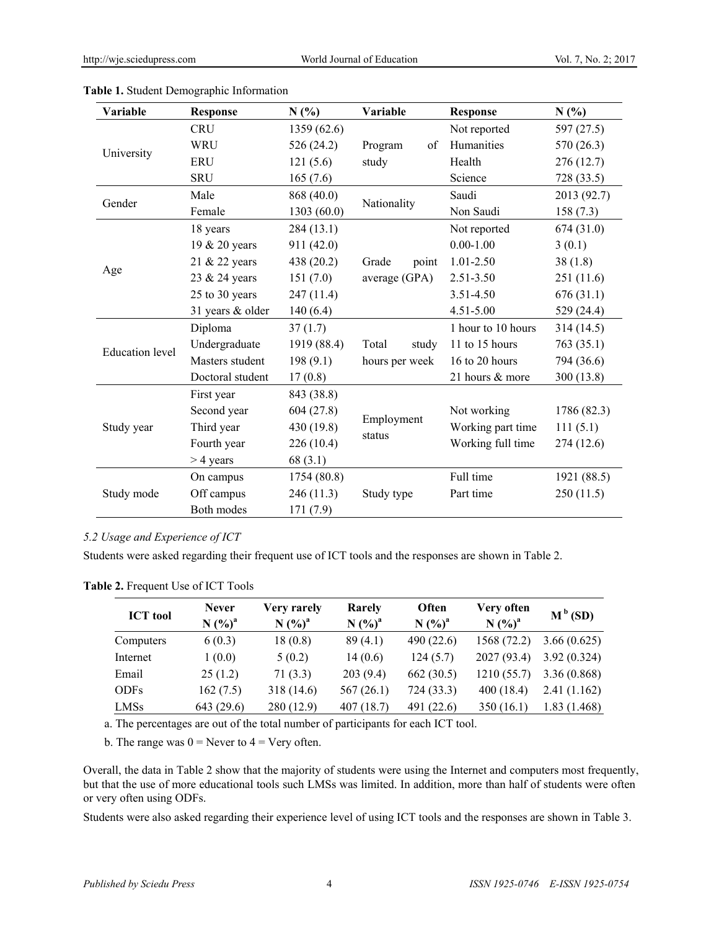| Variable               | <b>Response</b>  | N(%)        | Variable             | <b>Response</b>    | N(%)        |
|------------------------|------------------|-------------|----------------------|--------------------|-------------|
|                        | <b>CRU</b>       | 1359 (62.6) |                      | Not reported       | 597 (27.5)  |
|                        | <b>WRU</b>       | 526 (24.2)  | of<br>Program        | Humanities         | 570 (26.3)  |
| University             | <b>ERU</b>       | 121(5.6)    | study                | Health             | 276(12.7)   |
|                        | <b>SRU</b>       | 165(7.6)    |                      | Science            | 728 (33.5)  |
| Gender                 | Male             | 868 (40.0)  | Nationality          | Saudi              | 2013 (92.7) |
|                        | Female           | 1303 (60.0) |                      | Non Saudi          | 158(7.3)    |
|                        | 18 years         | 284(13.1)   |                      | Not reported       | 674 (31.0)  |
|                        | 19 & 20 years    | 911(42.0)   |                      | $0.00 - 1.00$      | 3(0.1)      |
|                        | 21 & 22 years    | 438 (20.2)  | Grade<br>point       | 1.01-2.50          | 38(1.8)     |
| Age                    | 23 & 24 years    | 151(7.0)    | average (GPA)        | $2.51 - 3.50$      | 251 (11.6)  |
|                        | 25 to 30 years   | 247(11.4)   |                      | 3.51-4.50          | 676(31.1)   |
|                        | 31 years & older | 140(6.4)    |                      | 4.51-5.00          | 529 (24.4)  |
|                        | Diploma          | 37(1.7)     |                      | 1 hour to 10 hours | 314(14.5)   |
| <b>Education</b> level | Undergraduate    | 1919 (88.4) | Total<br>study       | 11 to 15 hours     | 763 (35.1)  |
|                        | Masters student  | 198(9.1)    | hours per week       | 16 to 20 hours     | 794 (36.6)  |
|                        | Doctoral student | 17(0.8)     |                      | 21 hours & more    | 300 (13.8)  |
|                        | First year       | 843 (38.8)  |                      |                    |             |
|                        | Second year      | 604(27.8)   |                      | Not working        | 1786 (82.3) |
| Study year             | Third year       | 430 (19.8)  | Employment<br>status | Working part time  | 111(5.1)    |
|                        | Fourth year      | 226 (10.4)  |                      | Working full time  | 274 (12.6)  |
|                        | $>$ 4 years      | 68(3.1)     |                      |                    |             |
|                        | On campus        | 1754 (80.8) |                      | Full time          | 1921 (88.5) |
| Study mode             | Off campus       | 246 (11.3)  | Study type           | Part time          | 250(11.5)   |
|                        | Both modes       | 171(7.9)    |                      |                    |             |

| Table 1. Student Demographic Information |
|------------------------------------------|
|------------------------------------------|

# *5.2 Usage and Experience of ICT*

Students were asked regarding their frequent use of ICT tools and the responses are shown in Table 2.

**Table 2.** Frequent Use of ICT Tools

|                 | <b>Never</b> | Very rarely | Rarely             | Often              | Very often  | $M^b(SD)$   |
|-----------------|--------------|-------------|--------------------|--------------------|-------------|-------------|
| <b>ICT</b> tool | $N (%)^a$    | $N (%)^a$   | N (%) <sup>a</sup> | N (%) <sup>a</sup> | $N({\%})^a$ |             |
| Computers       | 6(0.3)       | 18(0.8)     | 89(4.1)            | 490 (22.6)         | 1568 (72.2) | 3.66(0.625) |
| Internet        | 1(0.0)       | 5(0.2)      | 14(0.6)            | 124(5.7)           | 2027 (93.4) | 3.92(0.324) |
| Email           | 25(1.2)      | 71(3.3)     | 203(9.4)           | 662(30.5)          | 1210(55.7)  | 3.36(0.868) |
| <b>ODFs</b>     | 162(7.5)     | 318 (14.6)  | 567(26.1)          | 724 (33.3)         | 400(18.4)   | 2.41(1.162) |
| <b>LMSs</b>     | 643 (29.6)   | 280(12.9)   | 407(18.7)          | 491 (22.6)         | 350(16.1)   | 1.83(1.468) |

a. The percentages are out of the total number of participants for each ICT tool.

b. The range was  $0 =$  Never to  $4 =$  Very often.

Overall, the data in Table 2 show that the majority of students were using the Internet and computers most frequently, but that the use of more educational tools such LMSs was limited. In addition, more than half of students were often or very often using ODFs.

Students were also asked regarding their experience level of using ICT tools and the responses are shown in Table 3.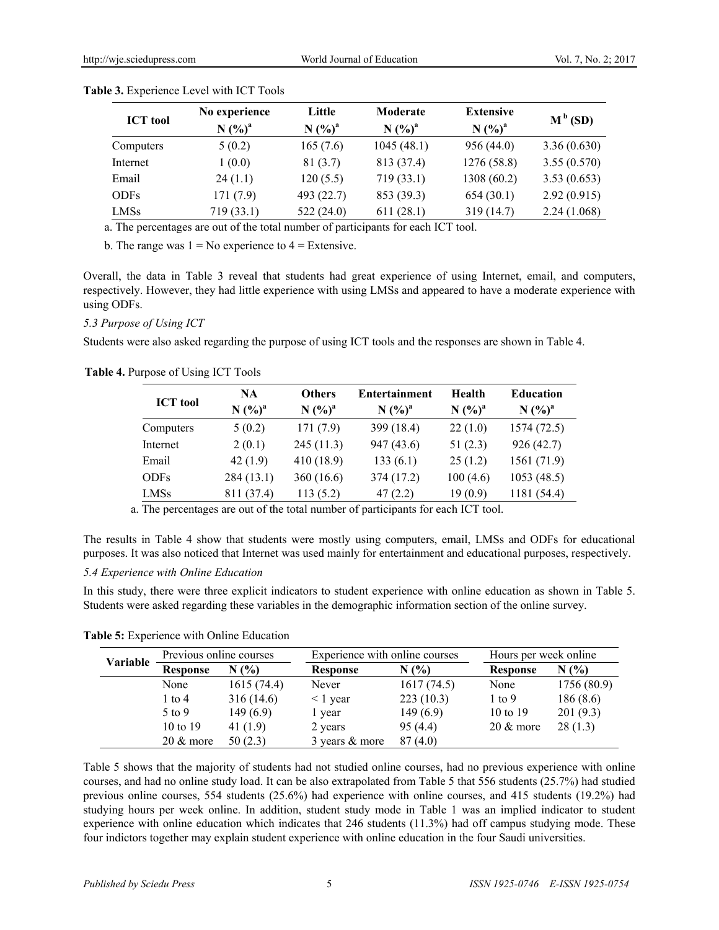| <b>ICT</b> tool | No experience<br>$N (%)^a$ | Little<br>N (%) <sup>a</sup> | Moderate<br>$N (%)^a$ | <b>Extensive</b><br>$N (%)^a$ | $M^b(SD)$   |
|-----------------|----------------------------|------------------------------|-----------------------|-------------------------------|-------------|
| Computers       | 5(0.2)                     | 165(7.6)                     | 1045(48.1)            | 956 (44.0)                    | 3.36(0.630) |
| Internet        | 1(0.0)                     | 81(3.7)                      | 813 (37.4)            | 1276(58.8)                    | 3.55(0.570) |
| Email           | 24(1.1)                    | 120(5.5)                     | 719(33.1)             | 1308 (60.2)                   | 3.53(0.653) |
| <b>ODFs</b>     | 171(7.9)                   | 493 (22.7)                   | 853 (39.3)            | 654(30.1)                     | 2.92(0.915) |
| <b>LMSs</b>     | 719 (33.1)                 | 522(24.0)                    | 611(28.1)             | 319 (14.7)                    | 2.24(1.068) |

#### **Table 3.** Experience Level with ICT Tools

a. The percentages are out of the total number of participants for each ICT tool.

b. The range was  $1 = No$  experience to  $4 = Extensive$ .

Overall, the data in Table 3 reveal that students had great experience of using Internet, email, and computers, respectively. However, they had little experience with using LMSs and appeared to have a moderate experience with using ODFs.

# *5.3 Purpose of Using ICT*

Students were also asked regarding the purpose of using ICT tools and the responses are shown in Table 4.

#### **Table 4.** Purpose of Using ICT Tools

| <b>ICT</b> tool | <b>NA</b>          | <b>Others</b> | <b>Entertainment</b> | <b>Health</b> | <b>Education</b> |
|-----------------|--------------------|---------------|----------------------|---------------|------------------|
|                 | N (%) <sup>a</sup> | $N (%)^a$     | $N (%)^a$            | $N (%)^a$     | $N (%)^a$        |
| Computers       | 5(0.2)             | 171(7.9)      | 399 (18.4)           | 22(1.0)       | 1574(72.5)       |
| Internet        | 2(0.1)             | 245(11.3)     | 947 (43.6)           | 51 $(2.3)$    | 926(42.7)        |
| Email           | 42(1.9)            | 410(18.9)     | 133(6.1)             | 25(1.2)       | 1561 (71.9)      |
| <b>ODFs</b>     | 284(13.1)          | 360(16.6)     | 374 (17.2)           | 100(4.6)      | 1053(48.5)       |
| <b>LMSs</b>     | 811 (37.4)         | 113(5.2)      | 47(2.2)              | 19(0.9)       | 1181 (54.4)      |

a. The percentages are out of the total number of participants for each ICT tool.

The results in Table 4 show that students were mostly using computers, email, LMSs and ODFs for educational purposes. It was also noticed that Internet was used mainly for entertainment and educational purposes, respectively.

# *5.4 Experience with Online Education*

In this study, there were three explicit indicators to student experience with online education as shown in Table 5. Students were asked regarding these variables in the demographic information section of the online survey.

**Table 5:** Experience with Online Education

|          | Previous online courses |            |                 | Experience with online courses |                     | Hours per week online |  |
|----------|-------------------------|------------|-----------------|--------------------------------|---------------------|-----------------------|--|
| Variable | <b>Response</b>         | N(%        | <b>Response</b> | N(%                            | <b>Response</b>     | N(%                   |  |
|          | None                    | 1615(74.4) | Never           | 1617(74.5)                     | None                | 1756 (80.9)           |  |
|          | 1 to 4                  | 316(14.6)  | $\leq$ 1 year   | 223(10.3)                      | $1$ to 9            | 186(8.6)              |  |
|          | $5 \text{ to } 9$       | 149(6.9)   | l year          | 149(6.9)                       | 10 to 19            | 201(9.3)              |  |
|          | $10 \text{ to } 19$     | 41 (1.9)   | 2 years         | 95(4.4)                        | $20 \& \text{more}$ | 28(1.3)               |  |
|          | $20 \& \text{more}$     | 50(2.3)    | 3 years & more  | 87(4.0)                        |                     |                       |  |

Table 5 shows that the majority of students had not studied online courses, had no previous experience with online courses, and had no online study load. It can be also extrapolated from Table 5 that 556 students (25.7%) had studied previous online courses, 554 students (25.6%) had experience with online courses, and 415 students (19.2%) had studying hours per week online. In addition, student study mode in Table 1 was an implied indicator to student experience with online education which indicates that 246 students (11.3%) had off campus studying mode. These four indictors together may explain student experience with online education in the four Saudi universities.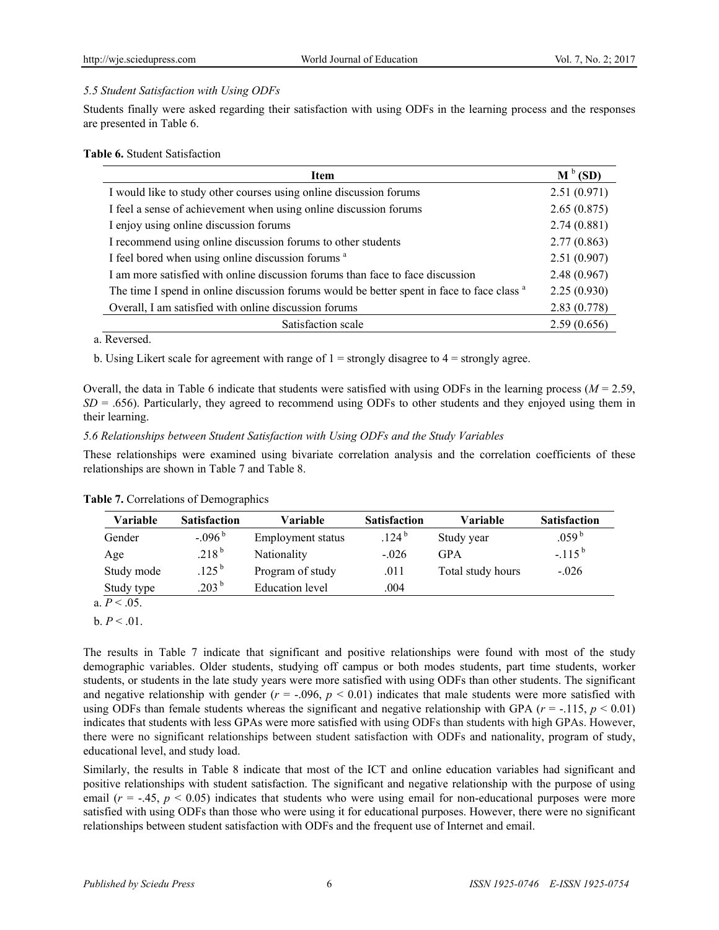# *5.5 Student Satisfaction with Using ODFs*

Students finally were asked regarding their satisfaction with using ODFs in the learning process and the responses are presented in Table 6.

#### **Table 6.** Student Satisfaction

| <b>Item</b>                                                                                           | $M^b(SD)$   |
|-------------------------------------------------------------------------------------------------------|-------------|
| I would like to study other courses using online discussion forums                                    | 2.51(0.971) |
| I feel a sense of achievement when using online discussion forums                                     | 2.65(0.875) |
| I enjoy using online discussion forums                                                                | 2.74(0.881) |
| I recommend using online discussion forums to other students                                          | 2.77(0.863) |
| I feel bored when using online discussion forums <sup>a</sup>                                         | 2.51(0.907) |
| I am more satisfied with online discussion forums than face to face discussion                        | 2.48(0.967) |
| The time I spend in online discussion forums would be better spent in face to face class <sup>a</sup> | 2.25(0.930) |
| Overall, I am satisfied with online discussion forums                                                 | 2.83(0.778) |
| Satisfaction scale                                                                                    | 2.59(0.656) |

a. Reversed.

b. Using Likert scale for agreement with range of  $1 =$  strongly disagree to  $4 =$  strongly agree.

Overall, the data in Table 6 indicate that students were satisfied with using ODFs in the learning process ( $M = 2.59$ ,  $SD = .656$ ). Particularly, they agreed to recommend using ODFs to other students and they enjoyed using them in their learning.

#### *5.6 Relationships between Student Satisfaction with Using ODFs and the Study Variables*

These relationships were examined using bivariate correlation analysis and the correlation coefficients of these relationships are shown in Table 7 and Table 8.

| Variable      | <b>Satisfaction</b> | Variable               | <b>Satisfaction</b> | Variable          | <b>Satisfaction</b> |
|---------------|---------------------|------------------------|---------------------|-------------------|---------------------|
| Gender        | $-0.096$            | Employment status      | .124 <sup>b</sup>   | Study year        | .059 $^{\rm b}$     |
| Age           | $218^{\rm b}$       | Nationality            | $-.026$             | <b>GPA</b>        | $-115^{b}$          |
| Study mode    | .125 <sup>b</sup>   | Program of study       | .011                | Total study hours | $-.026$             |
| Study type    | $203^{b}$           | <b>Education</b> level | .004                |                   |                     |
| $\sim$ $\sim$ |                     |                        |                     |                   |                     |

**Table 7.** Correlations of Demographics

a.  $P < 0.05$ .

 $b. P < .01$ .

The results in Table 7 indicate that significant and positive relationships were found with most of the study demographic variables. Older students, studying off campus or both modes students, part time students, worker students, or students in the late study years were more satisfied with using ODFs than other students. The significant and negative relationship with gender  $(r = -0.096, p < 0.01)$  indicates that male students were more satisfied with using ODFs than female students whereas the significant and negative relationship with GPA  $(r = -115, p \le 0.01)$ indicates that students with less GPAs were more satisfied with using ODFs than students with high GPAs. However, there were no significant relationships between student satisfaction with ODFs and nationality, program of study, educational level, and study load.

Similarly, the results in Table 8 indicate that most of the ICT and online education variables had significant and positive relationships with student satisfaction. The significant and negative relationship with the purpose of using email  $(r = -0.45, p < 0.05)$  indicates that students who were using email for non-educational purposes were more satisfied with using ODFs than those who were using it for educational purposes. However, there were no significant relationships between student satisfaction with ODFs and the frequent use of Internet and email.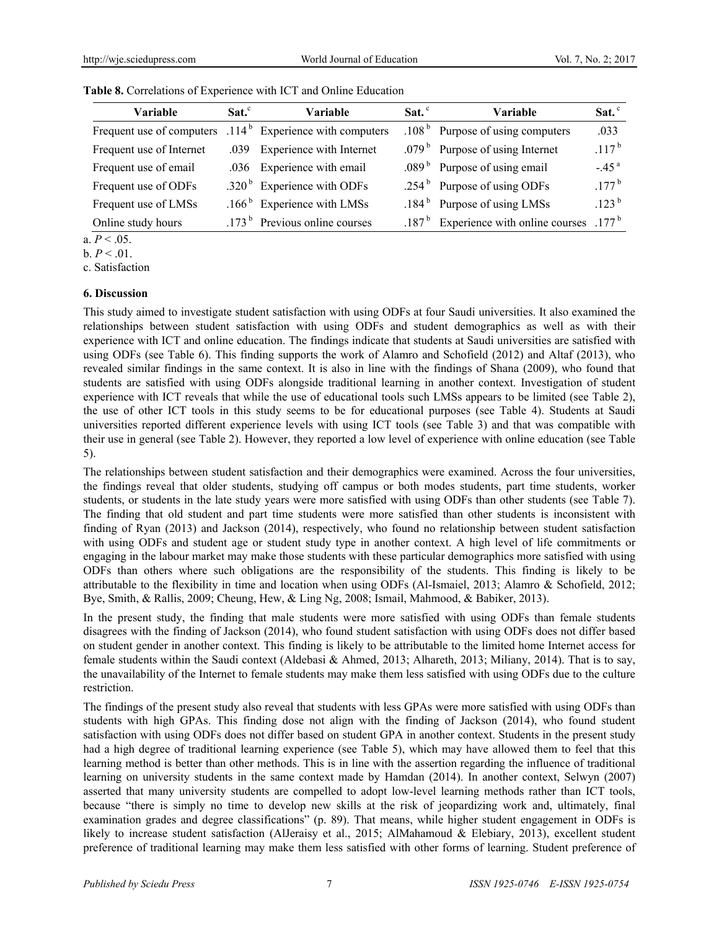| <b>Variable</b>           | $Sat.^c$ | <b>Variable</b>                   | $Sat.$ <sup>c</sup> | <b>Variable</b>                         | Sat. $\degree$      |
|---------------------------|----------|-----------------------------------|---------------------|-----------------------------------------|---------------------|
| Frequent use of computers |          | $.114b$ Experience with computers |                     | .108 $b$ Purpose of using computers     | .033                |
| Frequent use of Internet  |          | .039 Experience with Internet     |                     | .079 $b$ Purpose of using Internet      | $.117^{b}$          |
| Frequent use of email     |          | .036 Experience with email        |                     | .089 $b$ Purpose of using email         | $-.45a$             |
| Frequent use of ODFs      |          | .320 $b$ Experience with ODFs     |                     | .254 $b$ Purpose of using ODFs          | $.177^{\rm b}$      |
| Frequent use of LMSs      |          | .166 $b$ Experience with LMSs     |                     | .184 $b$ Purpose of using LMSs          | .123 <sup>b</sup>   |
| Online study hours        |          | .173 $b$ Previous online courses  |                     | .187 $b$ Experience with online courses | $.177^{\mathrm{b}}$ |

**Table 8.** Correlations of Experience with ICT and Online Education

a.  $P < .05$ .

 $b. P < .01.$ 

c. Satisfaction

#### **6. Discussion**

This study aimed to investigate student satisfaction with using ODFs at four Saudi universities. It also examined the relationships between student satisfaction with using ODFs and student demographics as well as with their experience with ICT and online education. The findings indicate that students at Saudi universities are satisfied with using ODFs (see Table 6). This finding supports the work of Alamro and Schofield (2012) and Altaf (2013), who revealed similar findings in the same context. It is also in line with the findings of Shana (2009), who found that students are satisfied with using ODFs alongside traditional learning in another context. Investigation of student experience with ICT reveals that while the use of educational tools such LMSs appears to be limited (see Table 2), the use of other ICT tools in this study seems to be for educational purposes (see Table 4). Students at Saudi universities reported different experience levels with using ICT tools (see Table 3) and that was compatible with their use in general (see Table 2). However, they reported a low level of experience with online education (see Table 5).

The relationships between student satisfaction and their demographics were examined. Across the four universities, the findings reveal that older students, studying off campus or both modes students, part time students, worker students, or students in the late study years were more satisfied with using ODFs than other students (see Table 7). The finding that old student and part time students were more satisfied than other students is inconsistent with finding of Ryan (2013) and Jackson (2014), respectively, who found no relationship between student satisfaction with using ODFs and student age or student study type in another context. A high level of life commitments or engaging in the labour market may make those students with these particular demographics more satisfied with using ODFs than others where such obligations are the responsibility of the students. This finding is likely to be attributable to the flexibility in time and location when using ODFs (Al-Ismaiel, 2013; Alamro & Schofield, 2012; Bye, Smith, & Rallis, 2009; Cheung, Hew, & Ling Ng, 2008; Ismail, Mahmood, & Babiker, 2013).

In the present study, the finding that male students were more satisfied with using ODFs than female students disagrees with the finding of Jackson (2014), who found student satisfaction with using ODFs does not differ based on student gender in another context. This finding is likely to be attributable to the limited home Internet access for female students within the Saudi context (Aldebasi & Ahmed, 2013; Alhareth, 2013; Miliany, 2014). That is to say, the unavailability of the Internet to female students may make them less satisfied with using ODFs due to the culture restriction.

The findings of the present study also reveal that students with less GPAs were more satisfied with using ODFs than students with high GPAs. This finding dose not align with the finding of Jackson (2014), who found student satisfaction with using ODFs does not differ based on student GPA in another context. Students in the present study had a high degree of traditional learning experience (see Table 5), which may have allowed them to feel that this learning method is better than other methods. This is in line with the assertion regarding the influence of traditional learning on university students in the same context made by Hamdan (2014). In another context, Selwyn (2007) asserted that many university students are compelled to adopt low-level learning methods rather than ICT tools, because "there is simply no time to develop new skills at the risk of jeopardizing work and, ultimately, final examination grades and degree classifications" (p. 89). That means, while higher student engagement in ODFs is likely to increase student satisfaction (AlJeraisy et al., 2015; AlMahamoud & Elebiary, 2013), excellent student preference of traditional learning may make them less satisfied with other forms of learning. Student preference of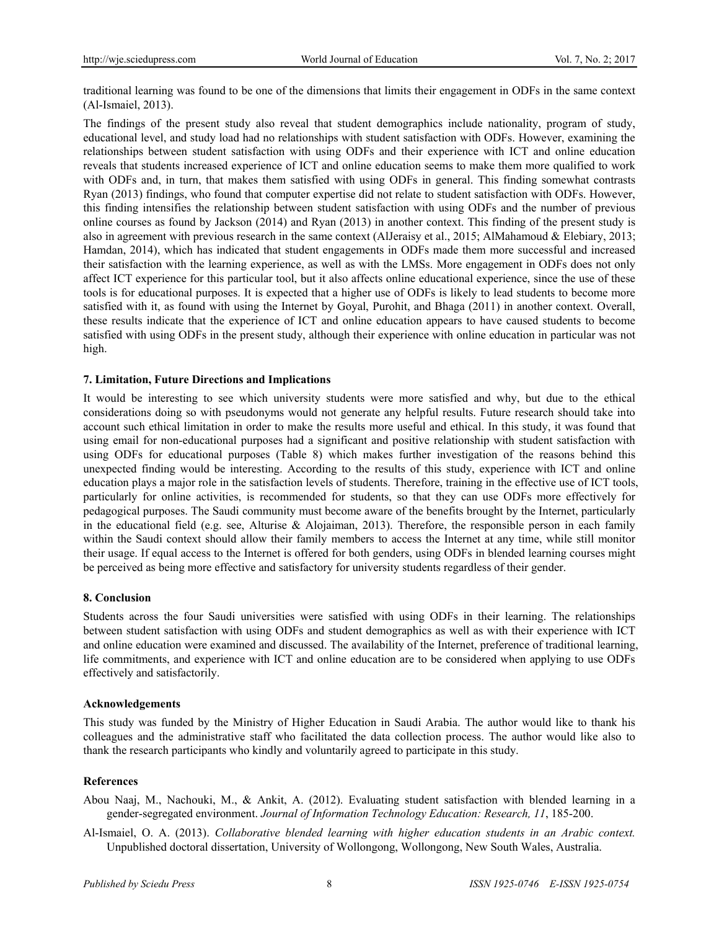traditional learning was found to be one of the dimensions that limits their engagement in ODFs in the same context (Al-Ismaiel, 2013).

The findings of the present study also reveal that student demographics include nationality, program of study, educational level, and study load had no relationships with student satisfaction with ODFs. However, examining the relationships between student satisfaction with using ODFs and their experience with ICT and online education reveals that students increased experience of ICT and online education seems to make them more qualified to work with ODFs and, in turn, that makes them satisfied with using ODFs in general. This finding somewhat contrasts Ryan (2013) findings, who found that computer expertise did not relate to student satisfaction with ODFs. However, this finding intensifies the relationship between student satisfaction with using ODFs and the number of previous online courses as found by Jackson (2014) and Ryan (2013) in another context. This finding of the present study is also in agreement with previous research in the same context (AlJeraisy et al., 2015; AlMahamoud & Elebiary, 2013; Hamdan, 2014), which has indicated that student engagements in ODFs made them more successful and increased their satisfaction with the learning experience, as well as with the LMSs. More engagement in ODFs does not only affect ICT experience for this particular tool, but it also affects online educational experience, since the use of these tools is for educational purposes. It is expected that a higher use of ODFs is likely to lead students to become more satisfied with it, as found with using the Internet by Goyal, Purohit, and Bhaga (2011) in another context. Overall, these results indicate that the experience of ICT and online education appears to have caused students to become satisfied with using ODFs in the present study, although their experience with online education in particular was not high.

# **7. Limitation, Future Directions and Implications**

It would be interesting to see which university students were more satisfied and why, but due to the ethical considerations doing so with pseudonyms would not generate any helpful results. Future research should take into account such ethical limitation in order to make the results more useful and ethical. In this study, it was found that using email for non-educational purposes had a significant and positive relationship with student satisfaction with using ODFs for educational purposes (Table 8) which makes further investigation of the reasons behind this unexpected finding would be interesting. According to the results of this study, experience with ICT and online education plays a major role in the satisfaction levels of students. Therefore, training in the effective use of ICT tools, particularly for online activities, is recommended for students, so that they can use ODFs more effectively for pedagogical purposes. The Saudi community must become aware of the benefits brought by the Internet, particularly in the educational field (e.g. see, Alturise & Alojaiman, 2013). Therefore, the responsible person in each family within the Saudi context should allow their family members to access the Internet at any time, while still monitor their usage. If equal access to the Internet is offered for both genders, using ODFs in blended learning courses might be perceived as being more effective and satisfactory for university students regardless of their gender.

# **8. Conclusion**

Students across the four Saudi universities were satisfied with using ODFs in their learning. The relationships between student satisfaction with using ODFs and student demographics as well as with their experience with ICT and online education were examined and discussed. The availability of the Internet, preference of traditional learning, life commitments, and experience with ICT and online education are to be considered when applying to use ODFs effectively and satisfactorily.

#### **Acknowledgements**

This study was funded by the Ministry of Higher Education in Saudi Arabia. The author would like to thank his colleagues and the administrative staff who facilitated the data collection process. The author would like also to thank the research participants who kindly and voluntarily agreed to participate in this study.

# **References**

- Abou Naaj, M., Nachouki, M., & Ankit, A. (2012). Evaluating student satisfaction with blended learning in a gender-segregated environment. *Journal of Information Technology Education: Research, 11*, 185-200.
- Al-Ismaiel, O. A. (2013). *Collaborative blended learning with higher education students in an Arabic context.* Unpublished doctoral dissertation, University of Wollongong, Wollongong, New South Wales, Australia.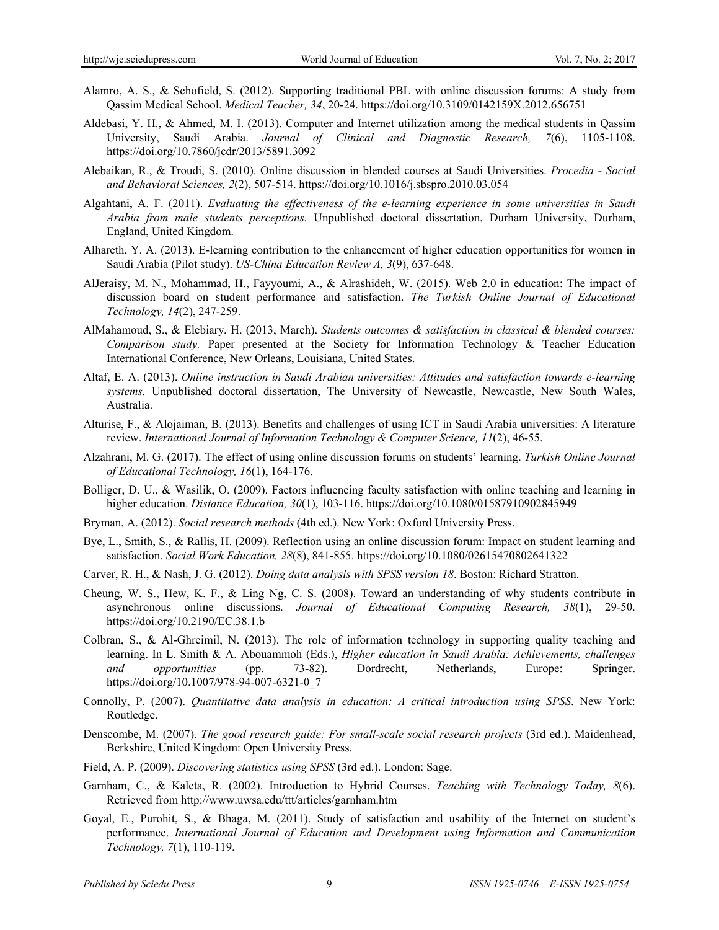- Alamro, A. S., & Schofield, S. (2012). Supporting traditional PBL with online discussion forums: A study from Qassim Medical School. *Medical Teacher, 34*, 20-24. https://doi.org/10.3109/0142159X.2012.656751
- Aldebasi, Y. H., & Ahmed, M. I. (2013). Computer and Internet utilization among the medical students in Qassim University, Saudi Arabia. *Journal of Clinical and Diagnostic Research, 7*(6), 1105-1108. https://doi.org/10.7860/jcdr/2013/5891.3092
- Alebaikan, R., & Troudi, S. (2010). Online discussion in blended courses at Saudi Universities. *Procedia Social and Behavioral Sciences, 2*(2), 507-514. https://doi.org/10.1016/j.sbspro.2010.03.054
- Algahtani, A. F. (2011). *Evaluating the effectiveness of the e-learning experience in some universities in Saudi Arabia from male students perceptions.* Unpublished doctoral dissertation, Durham University, Durham, England, United Kingdom.
- Alhareth, Y. A. (2013). E-learning contribution to the enhancement of higher education opportunities for women in Saudi Arabia (Pilot study). *US-China Education Review A, 3*(9), 637-648.
- AlJeraisy, M. N., Mohammad, H., Fayyoumi, A., & Alrashideh, W. (2015). Web 2.0 in education: The impact of discussion board on student performance and satisfaction. *The Turkish Online Journal of Educational Technology, 14*(2), 247-259.
- AlMahamoud, S., & Elebiary, H. (2013, March). *Students outcomes & satisfaction in classical & blended courses: Comparison study.* Paper presented at the Society for Information Technology & Teacher Education International Conference, New Orleans, Louisiana, United States.
- Altaf, E. A. (2013). *Online instruction in Saudi Arabian universities: Attitudes and satisfaction towards e-learning systems.* Unpublished doctoral dissertation, The University of Newcastle, Newcastle, New South Wales, Australia.
- Alturise, F., & Alojaiman, B. (2013). Benefits and challenges of using ICT in Saudi Arabia universities: A literature review. *International Journal of Information Technology & Computer Science, 11*(2), 46-55.
- Alzahrani, M. G. (2017). The effect of using online discussion forums on students' learning. *Turkish Online Journal of Educational Technology, 16*(1), 164-176.
- Bolliger, D. U., & Wasilik, O. (2009). Factors influencing faculty satisfaction with online teaching and learning in higher education. *Distance Education, 30*(1), 103-116. https://doi.org/10.1080/01587910902845949
- Bryman, A. (2012). *Social research methods* (4th ed.). New York: Oxford University Press.
- Bye, L., Smith, S., & Rallis, H. (2009). Reflection using an online discussion forum: Impact on student learning and satisfaction. *Social Work Education, 28*(8), 841-855. https://doi.org/10.1080/02615470802641322
- Carver, R. H., & Nash, J. G. (2012). *Doing data analysis with SPSS version 18*. Boston: Richard Stratton.
- Cheung, W. S., Hew, K. F., & Ling Ng, C. S. (2008). Toward an understanding of why students contribute in asynchronous online discussions. *Journal of Educational Computing Research, 38*(1), 29-50. https://doi.org/10.2190/EC.38.1.b
- Colbran, S., & Al-Ghreimil, N. (2013). The role of information technology in supporting quality teaching and learning. In L. Smith & A. Abouammoh (Eds.), *Higher education in Saudi Arabia: Achievements, challenges and opportunities* (pp. 73-82). Dordrecht, Netherlands, Europe: Springer. https://doi.org/10.1007/978-94-007-6321-0\_7
- Connolly, P. (2007). *Quantitative data analysis in education: A critical introduction using SPSS*. New York: Routledge.
- Denscombe, M. (2007). *The good research guide: For small-scale social research projects* (3rd ed.). Maidenhead, Berkshire, United Kingdom: Open University Press.
- Field, A. P. (2009). *Discovering statistics using SPSS* (3rd ed.). London: Sage.
- Garnham, C., & Kaleta, R. (2002). Introduction to Hybrid Courses. *Teaching with Technology Today, 8*(6). Retrieved from http://www.uwsa.edu/ttt/articles/garnham.htm
- Goyal, E., Purohit, S., & Bhaga, M. (2011). Study of satisfaction and usability of the Internet on student's performance. *International Journal of Education and Development using Information and Communication Technology, 7*(1), 110-119.